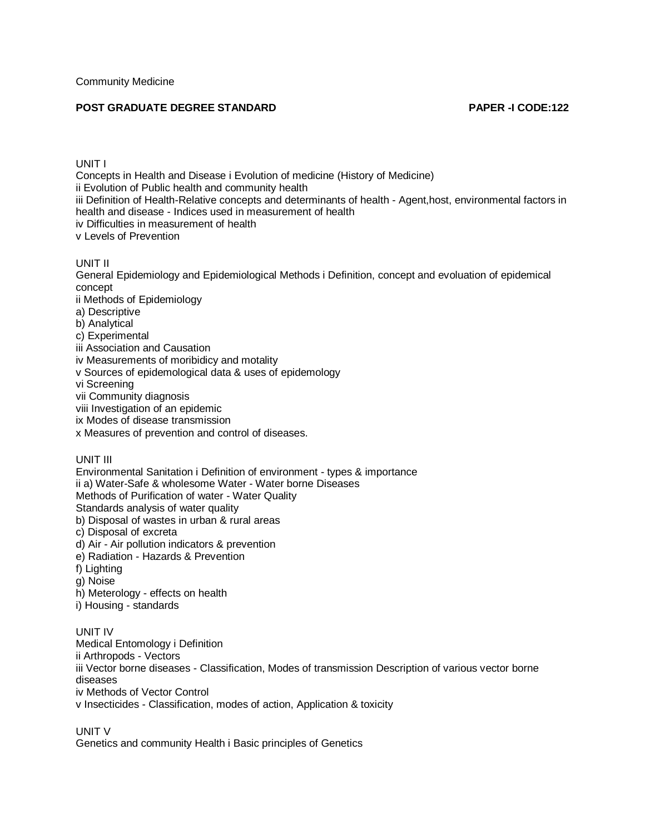# **POST GRADUATE DEGREE STANDARD PAPER -I CODE:122**

UNIT I Concepts in Health and Disease i Evolution of medicine (History of Medicine) ii Evolution of Public health and community health iii Definition of Health-Relative concepts and determinants of health - Agent,host, environmental factors in health and disease - Indices used in measurement of health iv Difficulties in measurement of health v Levels of Prevention

UNIT II

General Epidemiology and Epidemiological Methods i Definition, concept and evoluation of epidemical concept

ii Methods of Epidemiology

a) Descriptive

b) Analytical

c) Experimental

iii Association and Causation

iv Measurements of moribidicy and motality

v Sources of epidemological data & uses of epidemology

vi Screening

vii Community diagnosis

viii Investigation of an epidemic

ix Modes of disease transmission

x Measures of prevention and control of diseases.

UNIT III

Environmental Sanitation i Definition of environment - types & importance ii a) Water-Safe & wholesome Water - Water borne Diseases Methods of Purification of water - Water Quality Standards analysis of water quality b) Disposal of wastes in urban & rural areas c) Disposal of excreta d) Air - Air pollution indicators & prevention e) Radiation - Hazards & Prevention f) Lighting g) Noise h) Meterology - effects on health

i) Housing - standards

UNIT IV Medical Entomology i Definition ii Arthropods - Vectors iii Vector borne diseases - Classification, Modes of transmission Description of various vector borne diseases iv Methods of Vector Control v Insecticides - Classification, modes of action, Application & toxicity

UNIT V

Genetics and community Health i Basic principles of Genetics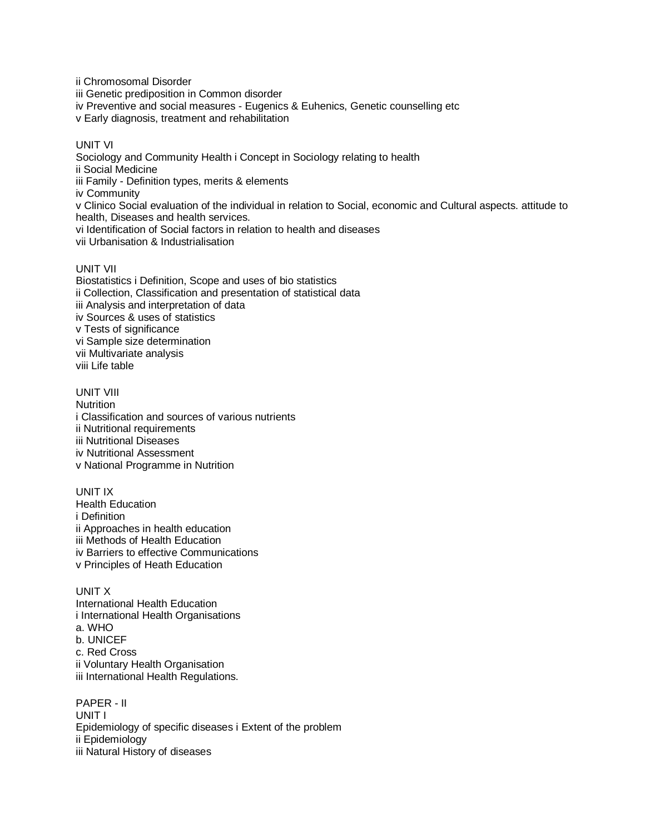ii Chromosomal Disorder iii Genetic prediposition in Common disorder iv Preventive and social measures - Eugenics & Euhenics, Genetic counselling etc v Early diagnosis, treatment and rehabilitation UNIT VI Sociology and Community Health i Concept in Sociology relating to health ii Social Medicine iii Family - Definition types, merits & elements iv Community

v Clinico Social evaluation of the individual in relation to Social, economic and Cultural aspects. attitude to health, Diseases and health services. vi Identification of Social factors in relation to health and diseases

vii Urbanisation & Industrialisation

UNIT VII

Biostatistics i Definition, Scope and uses of bio statistics ii Collection, Classification and presentation of statistical data iii Analysis and interpretation of data iv Sources & uses of statistics v Tests of significance vi Sample size determination vii Multivariate analysis viii Life table

UNIT VIII **Nutrition** i Classification and sources of various nutrients ii Nutritional requirements iii Nutritional Diseases iv Nutritional Assessment v National Programme in Nutrition

UNIT IX Health Education i Definition ii Approaches in health education iii Methods of Health Education iv Barriers to effective Communications v Principles of Heath Education

UNIT X International Health Education i International Health Organisations a. WHO b. UNICEF c. Red Cross ii Voluntary Health Organisation iii International Health Regulations.

PAPER - II UNIT I Epidemiology of specific diseases i Extent of the problem ii Epidemiology iii Natural History of diseases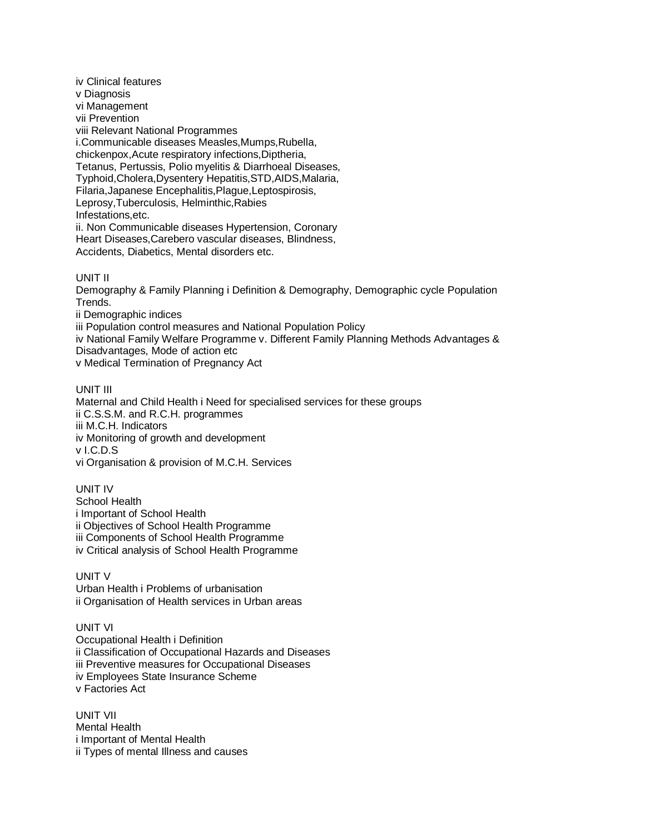iv Clinical features v Diagnosis vi Management vii Prevention viii Relevant National Programmes i.Communicable diseases Measles,Mumps,Rubella, chickenpox,Acute respiratory infections,Diptheria, Tetanus, Pertussis, Polio myelitis & Diarrhoeal Diseases, Typhoid,Cholera,Dysentery Hepatitis,STD,AIDS,Malaria, Filaria,Japanese Encephalitis,Plague,Leptospirosis, Leprosy,Tuberculosis, Helminthic,Rabies Infestations,etc. ii. Non Communicable diseases Hypertension, Coronary Heart Diseases,Carebero vascular diseases, Blindness, Accidents, Diabetics, Mental disorders etc.

### UNIT II

Demography & Family Planning i Definition & Demography, Demographic cycle Population Trends.

ii Demographic indices

iii Population control measures and National Population Policy

iv National Family Welfare Programme v. Different Family Planning Methods Advantages & Disadvantages, Mode of action etc

v Medical Termination of Pregnancy Act

### UNIT III

Maternal and Child Health i Need for specialised services for these groups ii C.S.S.M. and R.C.H. programmes iii M.C.H. Indicators iv Monitoring of growth and development v I.C.D.S vi Organisation & provision of M.C.H. Services

UNIT IV School Health i Important of School Health ii Objectives of School Health Programme iii Components of School Health Programme iv Critical analysis of School Health Programme

### UNIT V

Urban Health i Problems of urbanisation ii Organisation of Health services in Urban areas

# UNIT VI

Occupational Health i Definition ii Classification of Occupational Hazards and Diseases iii Preventive measures for Occupational Diseases iv Employees State Insurance Scheme v Factories Act

UNIT VII Mental Health i Important of Mental Health ii Types of mental Illness and causes